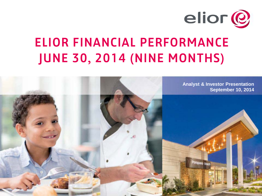

# ELIOR FINANCIAL PERFORMANCE JUNE 30, 2014 (NINE MONTHS)

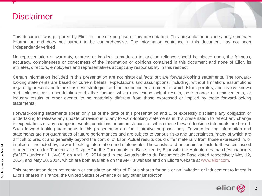#### **Disclaimer**

This document was prepared by Elior for the sole purpose of this presentation. This presentation includes only summary information and does not purport to be comprehensive. The information contained in this document has not been independently verified.

No representation or warranty, express or implied, is made as to, and no reliance should be placed upon, the fairness, accuracy, completeness or correctness of the information or opinions contained in this document and none of Elior, its affiliates, directors, employees and representatives accept any responsibility in this respect.

Certain information included in this presentation are not historical facts but are forward-looking statements. The forwardlooking statements are based on current beliefs, expectations and assumptions, including, without limitation, assumptions regarding present and future business strategies and the economic environment in which Elior operates, and involve known and unknown risk, uncertainties and other factors, which may cause actual results, performance or achievements, or industry results or other events, to be materially different from those expressed or implied by these forward-looking statements.

Forward-looking statements speak only as of the date of this presentation and Elior expressly disclaims any obligation or undertaking to release any update or revisions to any forward-looking statements in this presentation to reflect any change in expectations or any change in events, conditions or circumstances on which these forward-looking statements are based. Such forward looking statements in this presentation are for illustrative purposes only. Forward-looking information and statements are not guarantees of future performances and are subject to various risks and uncertainties, many of which are difficult to predict and generally beyond the control of Elior. Actual results could differ materially from those expressed in, or implied or projected by, forward-looking information and statements. These risks and uncertainties include those discussed or identified under "Facteurs de Risques" in the Documents de Base filed by Elior with the Autorité des marchés financiers ("AMF") under n° I. 14-015 on April 15, 2014 and in the Actualisations du Document de Base dated respectively May 12, 2014, and May 28, 2014, which are both available on the AMF's website and on Elior's website at [www.elior.com](http://www.elior.com/).

This presentation does not contain or constitute an offer of Elior's shares for sale or an invitation or inducement to invest in Elior's shares in France, the United States of America or any other jurisdiction.

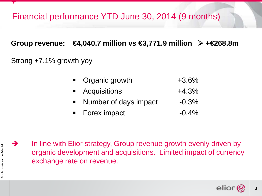## Financial performance YTD June 30, 2014 (9 months)

#### **Group revenue: €4,040.7 million vs €3,771.9 million +€268.8m**

#### Strong +7.1% growth yoy

- Organic growth +3.6%
- Acquisitions +4.3%
- Number of days impact -0.3%
- Forex impact  $-0.4\%$



Strictly private and confidential

Strictly private and confidential

 $\rightarrow$  In line with Elior strategy, Group revenue growth evenly driven by organic development and acquisitions. Limited impact of currency exchange rate on revenue.

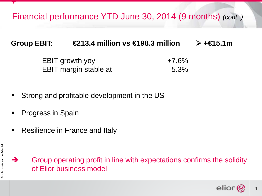Financial performance YTD June 30, 2014 (9 months) *(cont..)*

#### **Group EBIT: €213.4 million vs €198.3 million**  $\triangleright$  +€15.1m

| <b>EBIT growth yoy</b> | $+7.6\%$ |
|------------------------|----------|
| EBIT margin stable at  | 5.3%     |

- **Strong and profitable development in the US**
- **Progress in Spain**
- **Resilience in France and Italy**

 $\rightarrow$  Group operating profit in line with expectations confirms the solidity of Elior business model

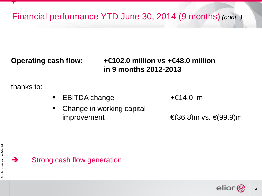Financial performance YTD June 30, 2014 (9 months) *(cont..)*

**Operating cash flow: +€102.0 million vs +€48.0 million in 9 months 2012-2013**

thanks to:

- EBITDA change +€14.0 m
- Change in working capital improvement  $\epsilon$ (36.8)m vs.  $\epsilon$ (99.9)m



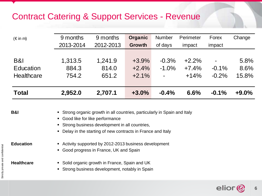## Contract Catering & Support Services - Revenue

| $(\in$ in m)      | 9 months  | 9 months                                                                  | Organic | <b>Number</b> | Perimeter | Forex   | Change  |  |  |  |
|-------------------|-----------|---------------------------------------------------------------------------|---------|---------------|-----------|---------|---------|--|--|--|
|                   | 2013-2014 | 2012-2013                                                                 | Growth  | of days       | impact    | impact  |         |  |  |  |
|                   |           |                                                                           |         |               |           |         |         |  |  |  |
| <b>B&amp;I</b>    | 1,313.5   | 1,241.9                                                                   | $+3.9%$ | $-0.3%$       | $+2.2%$   |         | 5.8%    |  |  |  |
| Education         | 884.3     | 814.0                                                                     | $+2.4%$ | $-1.0%$       | $+7.4%$   | $-0.1%$ | 8.6%    |  |  |  |
| <b>Healthcare</b> | 754.2     | 651.2                                                                     | $+2.1%$ |               | $+14%$    | $-0.2%$ | 15.8%   |  |  |  |
| <b>Total</b>      | 2,952.0   | 2,707.1                                                                   | $+3.0%$ | $-0.4%$       | 6.6%      | $-0.1%$ | $+9.0%$ |  |  |  |
|                   |           |                                                                           |         |               |           |         |         |  |  |  |
| <b>B&amp;I</b>    |           | • Strong organic growth in all countries, particularly in Spain and Italy |         |               |           |         |         |  |  |  |
|                   |           | Good like for like performance                                            |         |               |           |         |         |  |  |  |
|                   |           | Strong business development in all countries,                             |         |               |           |         |         |  |  |  |
|                   |           | Delay in the starting of new contracts in France and Italy                |         |               |           |         |         |  |  |  |

- **Education** Activity supported by 2012-2013 business development
	- Good progress in France, UK and Spain

- Healthcare **Example 20** Solid organic growth in France, Spain and UK
	- **Strong business development, notably in Spain**

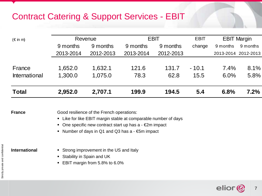## Contract Catering & Support Services - EBIT

| $(\in$ in m)  |           | Revenue   | <b>EBIT</b> |           | <b>EBIT</b> |                     | <b>EBIT Margin</b> |
|---------------|-----------|-----------|-------------|-----------|-------------|---------------------|--------------------|
|               | 9 months  | 9 months  | 9 months    | 9 months  | change      | 9 months            | 9 months           |
|               | 2013-2014 | 2012-2013 | 2013-2014   | 2012-2013 |             | 2013-2014 2012-2013 |                    |
|               |           |           |             |           |             |                     |                    |
| France        | 1,652.0   | 1,632.1   | 121.6       | 131.7     | $-10.1$     | 7.4%                | 8.1%               |
| International | 1,300.0   | 1,075.0   | 78.3        | 62.8      | 15.5        | 6.0%                | 5.8%               |
|               |           |           |             |           |             |                     |                    |
| <b>Total</b>  | 2,952.0   | 2,707.1   | 199.9       | 194.5     | 5.4         | 6.8%                | 7.2%               |

**France Good resilience of the French operations:** 

- **EXTERGHERIGHT LIKE EBIT margin stable at comparable number of days**
- One specific new contract start up has  $a \epsilon 2m$  impact
- Number of days in Q1 and Q3 has a €5m impact

- **International Example 3** Strong improvement in the US and Italy
	- Stability in Spain and UK
	- **EBIT margin from 5.8% to 6.0%**

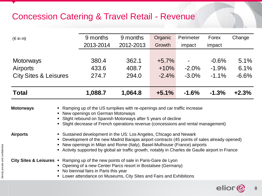#### Concession Catering & Travel Retail - Revenue

| $(\in$ in m)                     |                                                                                                                                                                                                                                                                  | 9 months                                                                                                                                                                                                                                                                                                                                         | 9 months  | Organic  | Perimeter | Forex    | Change  |
|----------------------------------|------------------------------------------------------------------------------------------------------------------------------------------------------------------------------------------------------------------------------------------------------------------|--------------------------------------------------------------------------------------------------------------------------------------------------------------------------------------------------------------------------------------------------------------------------------------------------------------------------------------------------|-----------|----------|-----------|----------|---------|
|                                  |                                                                                                                                                                                                                                                                  | 2013-2014                                                                                                                                                                                                                                                                                                                                        | 2012-2013 | Growth   | impact    | impact   |         |
|                                  |                                                                                                                                                                                                                                                                  |                                                                                                                                                                                                                                                                                                                                                  |           |          |           |          |         |
| <b>Motorways</b>                 |                                                                                                                                                                                                                                                                  | 380.4                                                                                                                                                                                                                                                                                                                                            | 362.1     | $+5.7\%$ |           | $-0.6%$  | $5.1\%$ |
| Airports                         |                                                                                                                                                                                                                                                                  | 433.6                                                                                                                                                                                                                                                                                                                                            | 408.7     | $+10%$   | $-2.0\%$  | $-1.9%$  | 6.1%    |
| <b>City Sites &amp; Leisures</b> |                                                                                                                                                                                                                                                                  | 274.7                                                                                                                                                                                                                                                                                                                                            | 294.0     | $-2.4\%$ | $-3.0\%$  | $-1.1\%$ | $-6.6%$ |
|                                  |                                                                                                                                                                                                                                                                  |                                                                                                                                                                                                                                                                                                                                                  |           |          |           |          |         |
| <b>Total</b>                     |                                                                                                                                                                                                                                                                  | 1,088.7                                                                                                                                                                                                                                                                                                                                          | 1,064.8   | $+5.1%$  | $-1.6%$   | $-1.3%$  | $+2.3%$ |
| <b>Motorways</b>                 | Ramping up of the US turnpikes with re-openings and car traffic increase<br>New openings on German Motorways<br>Slight rebound on Spanish Motorways after 5 years of decline<br>Slight decrease of French operations revenue (concessions and rental management) |                                                                                                                                                                                                                                                                                                                                                  |           |          |           |          |         |
| Airports                         |                                                                                                                                                                                                                                                                  | • Sustained development in the US: Los Angeles, Chicago and Newark<br>Development of the new Madrid Barajas airport contracts (45 points of sales already opened)<br>New openings in Milan and Rome (Italy), Basel-Mulhouse (France) airports<br>Activity supported by global air traffic growth, notably in Charles de Gaulle airport in France |           |          |           |          |         |

#### **City Sites & Leisures** . Ramping up of the new points of sale in Paris-Gare de Lyon

- Opening of a new Center Parcs resort in Bostalsee (Germany)
- No biennial fairs in Paris this year
- **EXECT:** Lower attendance on Museums, City Sites and Fairs and Exhibitions

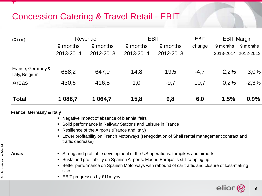### Concession Catering & Travel Retail - EBIT

| $(\in$ in m)                        | Revenue   |           | <b>EBIT</b> |           | <b>EBIT</b> | <b>EBIT Margin</b>  |          |
|-------------------------------------|-----------|-----------|-------------|-----------|-------------|---------------------|----------|
|                                     | 9 months  | 9 months  | 9 months    | 9 months  | change      | 9 months            | 9 months |
|                                     | 2013-2014 | 2012-2013 | 2013-2014   | 2012-2013 |             | 2013-2014 2012-2013 |          |
|                                     |           |           |             |           |             |                     |          |
| France, Germany &<br>Italy, Belgium | 658,2     | 647.9     | 14,8        | 19,5      | $-4,7$      | 2.2%                | 3,0%     |
| Areas                               | 430,6     | 416,8     | 1,0         | $-9,7$    | 10.7        | 0.2%                | $-2.3%$  |
| <b>Total</b>                        | 1 088,7   | 1 0 64,7  | 15,8        | 9,8       | 6,0         | 1,5%                | 0,9%     |

#### **France, Germany & Italy**

- Negative impact of absence of biennial fairs
- **Solid performance in Railway Stations and Leisure in France**
- **Resilience of the Airports (France and Italy)**
- Lower profitability on French Motorways (renegotiation of Shell rental management contract and traffic decrease)

- **Areas** Strong and profitable development of the US operations: turnpikes and airports
	- Sustained profitability on Spanish Airports. Madrid Barajas is still ramping up
	- **Better performance on Spanish Motorways with rebound of car traffic and closure of loss-making** sites
	- EBIT progresses by €11m yoy

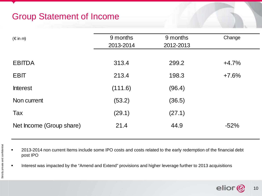## Group Statement of Income

| $(\in$ in m)             | 9 months  | 9 months  | Change  |
|--------------------------|-----------|-----------|---------|
|                          | 2013-2014 | 2012-2013 |         |
|                          |           |           |         |
| <b>EBITDA</b>            | 313.4     | 299.2     | $+4.7%$ |
|                          |           |           |         |
| <b>EBIT</b>              | 213.4     | 198.3     | $+7.6%$ |
| <b>Interest</b>          | (111.6)   | (96.4)    |         |
|                          |           |           |         |
| Non current              | (53.2)    | (36.5)    |         |
| Tax                      | (29.1)    | (27.1)    |         |
|                          |           |           |         |
| Net Income (Group share) | 21.4      | 44.9      | $-52%$  |
|                          |           |           |         |

■ 2013-2014 non current Items include some IPO costs and costs related to the early redemption of the financial debt post IPO

Interest was impacted by the "Amend and Extend" provisions and higher leverage further to 2013 acquisitions

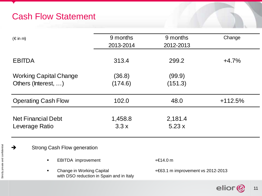## Cash Flow Statement

| $(\in$ in m)                                         | 9 months<br>2013-2014 | 9 months<br>2012-2013 | Change    |
|------------------------------------------------------|-----------------------|-----------------------|-----------|
| <b>EBITDA</b>                                        | 313.4                 | 299.2                 | $+4.7%$   |
| <b>Working Capital Change</b><br>Others (Interest, ) | (36.8)<br>(174.6)     | (99.9)<br>(151.3)     |           |
| <b>Operating Cash Flow</b>                           | 102.0                 | 48.0                  | $+112.5%$ |
| <b>Net Financial Debt</b><br>Leverage Ratio          | 1,458.8<br>3.3x       | 2,181.4<br>5.23x      |           |

#### → Strong Cash Flow generation

- EBITDA improvement +€14.0 m
- Change in Working Capital **+**€63.1 m improvement vs 2012-2013 with DSO reduction in Spain and in Italy